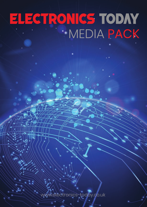# ELECTRONICS TODAY MEDIA PACK

www.electronics-today.co.uk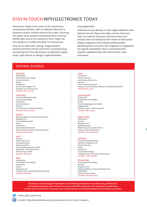## STAY IN TOUCH WITH ELECTRONICS TODAY

Electronics Today is the voice of the electronics component industry, with an editorial vibe that is business centric, intuitive and on the pulse. Covering the latest news, product announcements and key trends right across the spectrum from major tier one players to smaller privately run businesses.

Stay up-to-date with cutting –edge product announcements, trends and news, encompassing everything from the electronics component supply chain, right across to design, implementation

#### and application.

Delivered to you directly in both digital platform and printed format. Stay up to date and be informed with our industry focused, technical news and articles that are tailored to the needs of electronics design engineers and industry professionals. Spanning some 30 years the magazine is supported by regular newsletters and a comprehensive website updated daily with all the latest news and views.

#### EDITORIAL SCHEDULE

#### Dec/Jan

Distribution Embedded Technology Interconnection Power Enclosures Smart Technology & IoT Industry Focus: Enclosures Deadline 6th January

#### February

Contract Manufacturing Component Design Enclosures Interconnection Sensors Show Preview: Embedded World Deadline 12th February

#### March

Medical, Military & Industrial Electronics Display & UI's Test & Measurement Power Enclosures Automotive Electronics Show Preview: Southern Manufacturing Deadline 18th March

#### April

**Sensors** Smart Tech & IoT Optoelectronics Interconnection Thermal Management & EMC Wearable Tech & Biometrics Show Preview: PCIM Deadline 19th April

#### **May**

Distribution Embedded Technology Enclosures Power Displays & UIs Industry Focus: Contract Manufacturing Deadline 21st May

#### June

Enclosures Interconnection Automotive Electronics Sensors Test and Measurement Industry Focus: Medical, Military & Industrial Electronics Deadline 18th June

#### July/August

Enclosures Embedded Technology Power Thermal Management & EMC Supply Chain Industry Focus: Interconnection Deadline 13th August

#### September

Distribution Sensors Displays & UI's **Optoelectronics** Radio Frequency & Microwave Industry Focus: Enclosures Deadline 17th September

#### **October**

Contract Manufacturing Switches, Displays & UIs Interconnection Power Enclosures Component Design Industry Focus: Automotive Electronics Deadline - 18th October

#### November

Embedded Technology Sensors Displays & UI's Medical, Military & Industrial Electronics Distribution Industry Focus: Power Deadline 17th November

Electronics Today targets individuals in the following industries: manufacturing, distribution, consulting, education, government or press/media/PR. Individuals with purchase specification or that have involvement in sensors, test, measurement and control based instrumentation products.

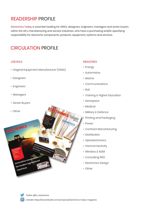## READERSHIP PROFILE

Electronics Today is essential reading for OEM's, designers, engineers, managers and senior buyers within the UK's manufacturing and service industries, who have a purchasing and/or specifying responsibility for electronic components, products, equipment, systems and services.

## CIRCULATION PROFILE

### JOB ROLE

- Original Equipment Manufacturer (OEMs)
- Designers
- Engineers
- Managers
- Senior Buyers
- Other

ELECTRON

#### INDUSTRIES

- Energy
- Automotive
- Marine
- Communications
- Rail
- Training & Higher Education
- Aerospace
- Medical
- Military & Defence
- Printing and Packaging
- Power
- Contract Manufacturing
- Distribution
- Optoelectronics
- Interconnectivity
- Wireless & M2M
- Consulting R&D
- Electronics Design
- Other



Innovative connector Innovative connectural

machines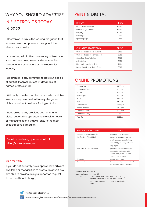## WHY YOU SHOULD ADVERTISE IN ELECTRONICS TODAY IN 2022

• Electronics Today is the leading magazine that focuses on all components throughout the electronics industry

• Advertising within Electronic today will result in your business being seen by the key decision makers and stakeholders of the electronics industry

• Electronics Today continues to post out copies of our GDPR compliant opt-in database of named professionals

• With only a limited number of adverts available in any issue you advert will always be given highly prominent positions facing editorial.

• Electronics Today provides both print and digital advertising opportunities to suit all levels of marketing spend that will ensure the most cost-effective campaign

For all advertising queries contact ltiller@datateam.com

#### Can we help?

If you do not currently have appropriate artwork available or the facilities to create an advert, we are able to provide design support on request (at no additional charge)

## PRINT & DIGITAL

| <b>DISPLAY</b>      | <b>PRICE</b> |
|---------------------|--------------|
| Front Cover Package | £3,500       |
| Double page spread  | £3,400       |
| Full page           | £2.200       |
| Half page           | £1.200       |
| Quarter page        | £700         |

| <b>CLASSIFIED ADVERTISING</b>  | <b>PRICE</b> |
|--------------------------------|--------------|
| Contact Directory - standard   | £400         |
| Contact Directory - enhanced   | £500         |
| Classified Buyer's Guide       | £200         |
| Advertorials                   | £250         |
| Monthly E-Newsletter Entry     | £150         |
| Specialised E-Newsletter Entry | f200         |

## ONLINE PROMOTIONS

| Banner Top ad         | £700pm   |
|-----------------------|----------|
| Banner Bottom ad      | £350pm   |
| <b>Button</b>         | £250pm   |
| Skyscraper            | £600pm   |
| Spot                  | £350pm   |
| <b>MPU</b>            | £800pm   |
| Background            | £1,500pm |
| Article Banner        | £400pm   |
| <b>Featured Event</b> | £200pm   |
| <b>Enhanced Entry</b> | £250     |
| Pop Up                | £600pm   |
|                       |          |

| <b>SPECIAL PROMOTIONS</b> | <b>PRICE</b>                           |  |
|---------------------------|----------------------------------------|--|
| Inserts Loose or bound in | Price dependant on weight of item      |  |
| List Rental / Direct Mail | Selections available by job title, job |  |
|                           | function, company size, industry       |  |
|                           | sector (SIC), purchasing influence     |  |
|                           | & by region                            |  |
| Bespoke Market Research   | Specially commissioned surveys         |  |
|                           | produced in conjunction with           |  |
|                           | editorial team, tailored to meet       |  |
|                           | individual clients needs               |  |
| Reprints                  | Price on application                   |  |
| Sponsorships              | Various and unique opportunities to    |  |
|                           | build valuable company/brand           |  |

#### All rates exclusive of VAT

Agency discount : Less 10%

Cancellation : Any cancellation must be made in writing for the attention of the Advertisement Manager, six weeks prior to the publication date